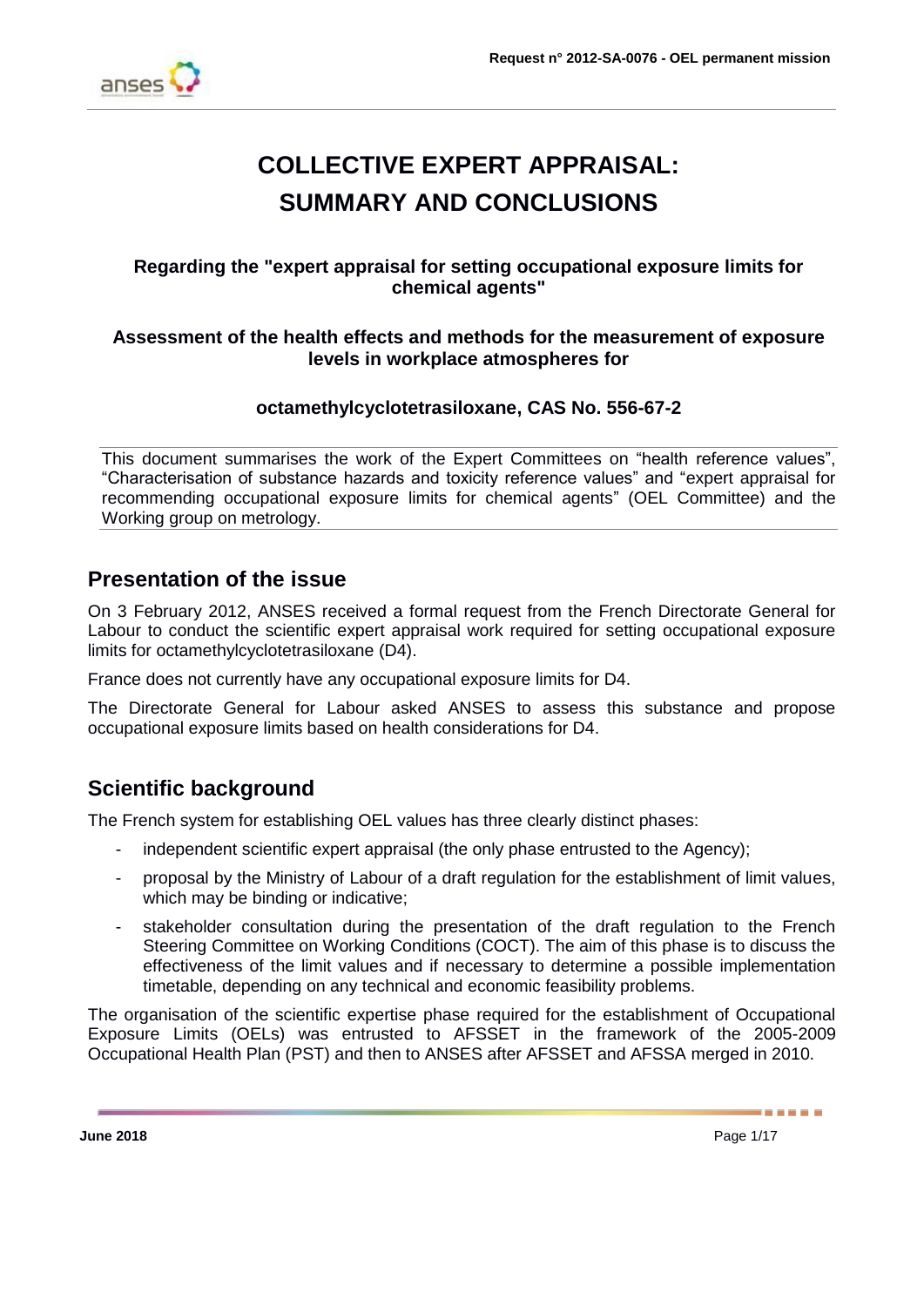

# **COLLECTIVE EXPERT APPRAISAL: SUMMARY AND CONCLUSIONS**

### **Regarding the "expert appraisal for setting occupational exposure limits for chemical agents"**

### **Assessment of the health effects and methods for the measurement of exposure levels in workplace atmospheres for**

### **octamethylcyclotetrasiloxane, CAS No. 556-67-2**

This document summarises the work of the Expert Committees on "health reference values", "Characterisation of substance hazards and toxicity reference values" and "expert appraisal for recommending occupational exposure limits for chemical agents" (OEL Committee) and the Working group on metrology.

## **Presentation of the issue**

On 3 February 2012, ANSES received a formal request from the French Directorate General for Labour to conduct the scientific expert appraisal work required for setting occupational exposure limits for octamethylcyclotetrasiloxane (D4).

France does not currently have any occupational exposure limits for D4.

The Directorate General for Labour asked ANSES to assess this substance and propose occupational exposure limits based on health considerations for D4.

## **Scientific background**

The French system for establishing OEL values has three clearly distinct phases:

- independent scientific expert appraisal (the only phase entrusted to the Agency);
- proposal by the Ministry of Labour of a draft regulation for the establishment of limit values, which may be binding or indicative;
- stakeholder consultation during the presentation of the draft regulation to the French Steering Committee on Working Conditions (COCT). The aim of this phase is to discuss the effectiveness of the limit values and if necessary to determine a possible implementation timetable, depending on any technical and economic feasibility problems.

The organisation of the scientific expertise phase required for the establishment of Occupational Exposure Limits (OELs) was entrusted to AFSSET in the framework of the 2005-2009 Occupational Health Plan (PST) and then to ANSES after AFSSET and AFSSA merged in 2010.

------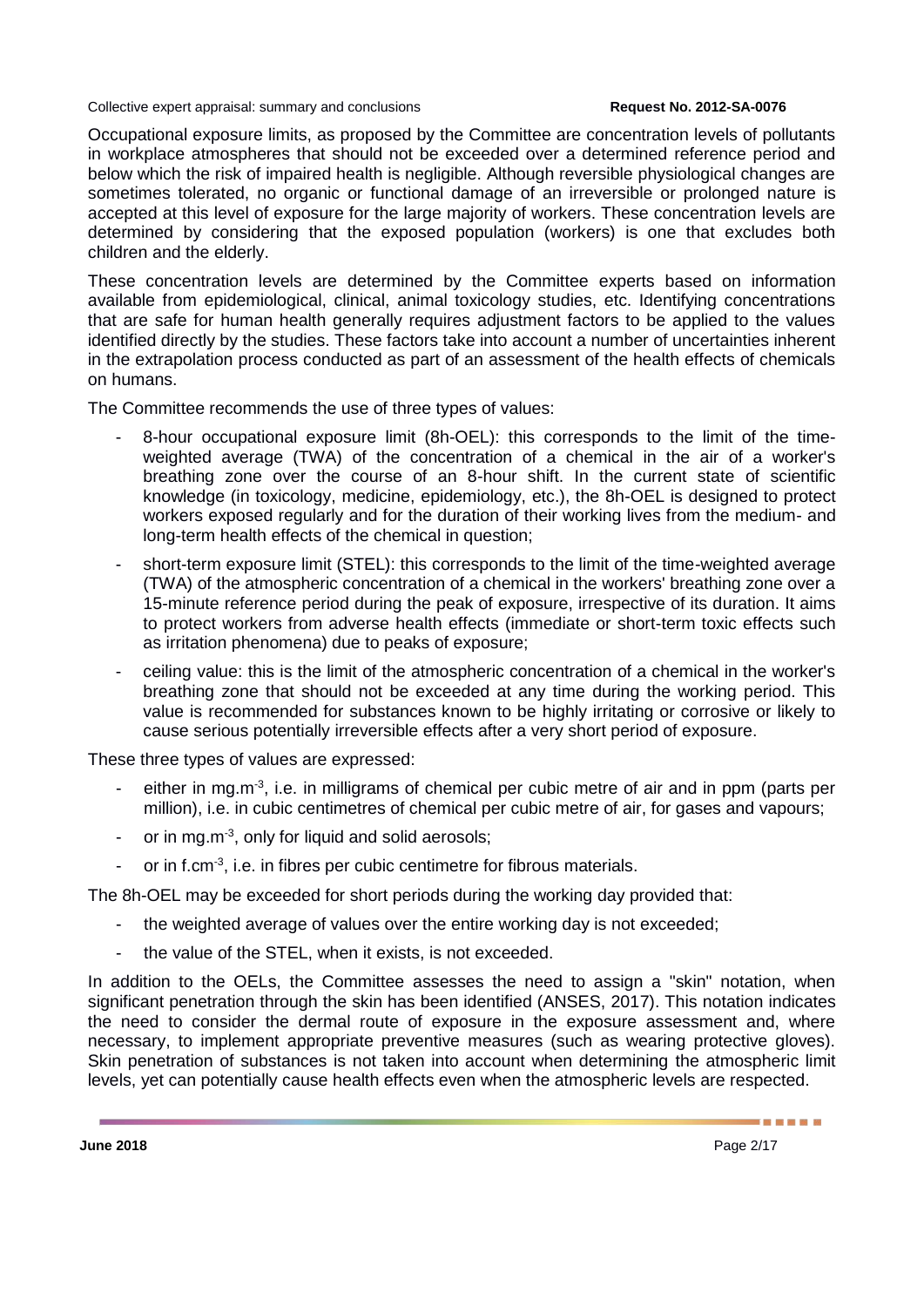Occupational exposure limits, as proposed by the Committee are concentration levels of pollutants in workplace atmospheres that should not be exceeded over a determined reference period and below which the risk of impaired health is negligible. Although reversible physiological changes are sometimes tolerated, no organic or functional damage of an irreversible or prolonged nature is accepted at this level of exposure for the large majority of workers. These concentration levels are determined by considering that the exposed population (workers) is one that excludes both children and the elderly.

These concentration levels are determined by the Committee experts based on information available from epidemiological, clinical, animal toxicology studies, etc. Identifying concentrations that are safe for human health generally requires adjustment factors to be applied to the values identified directly by the studies. These factors take into account a number of uncertainties inherent in the extrapolation process conducted as part of an assessment of the health effects of chemicals on humans.

The Committee recommends the use of three types of values:

- 8-hour occupational exposure limit (8h-OEL): this corresponds to the limit of the timeweighted average (TWA) of the concentration of a chemical in the air of a worker's breathing zone over the course of an 8-hour shift. In the current state of scientific knowledge (in toxicology, medicine, epidemiology, etc.), the 8h-OEL is designed to protect workers exposed regularly and for the duration of their working lives from the medium- and long-term health effects of the chemical in question;
- short-term exposure limit (STEL): this corresponds to the limit of the time-weighted average (TWA) of the atmospheric concentration of a chemical in the workers' breathing zone over a 15-minute reference period during the peak of exposure, irrespective of its duration. It aims to protect workers from adverse health effects (immediate or short-term toxic effects such as irritation phenomena) due to peaks of exposure;
- ceiling value: this is the limit of the atmospheric concentration of a chemical in the worker's breathing zone that should not be exceeded at any time during the working period. This value is recommended for substances known to be highly irritating or corrosive or likely to cause serious potentially irreversible effects after a very short period of exposure.

These three types of values are expressed:

- either in mg.m<sup>-3</sup>, i.e. in milligrams of chemical per cubic metre of air and in ppm (parts per million), i.e. in cubic centimetres of chemical per cubic metre of air, for gases and vapours;
- or in mg.m<sup>-3</sup>, only for liquid and solid aerosols;
- or in f.cm<sup>-3</sup>, i.e. in fibres per cubic centimetre for fibrous materials.

The 8h-OEL may be exceeded for short periods during the working day provided that:

- the weighted average of values over the entire working day is not exceeded;
- the value of the STEL, when it exists, is not exceeded.

In addition to the OELs, the Committee assesses the need to assign a "skin" notation, when significant penetration through the skin has been identified (ANSES, 2017). This notation indicates the need to consider the dermal route of exposure in the exposure assessment and, where necessary, to implement appropriate preventive measures (such as wearing protective gloves). Skin penetration of substances is not taken into account when determining the atmospheric limit levels, yet can potentially cause health effects even when the atmospheric levels are respected.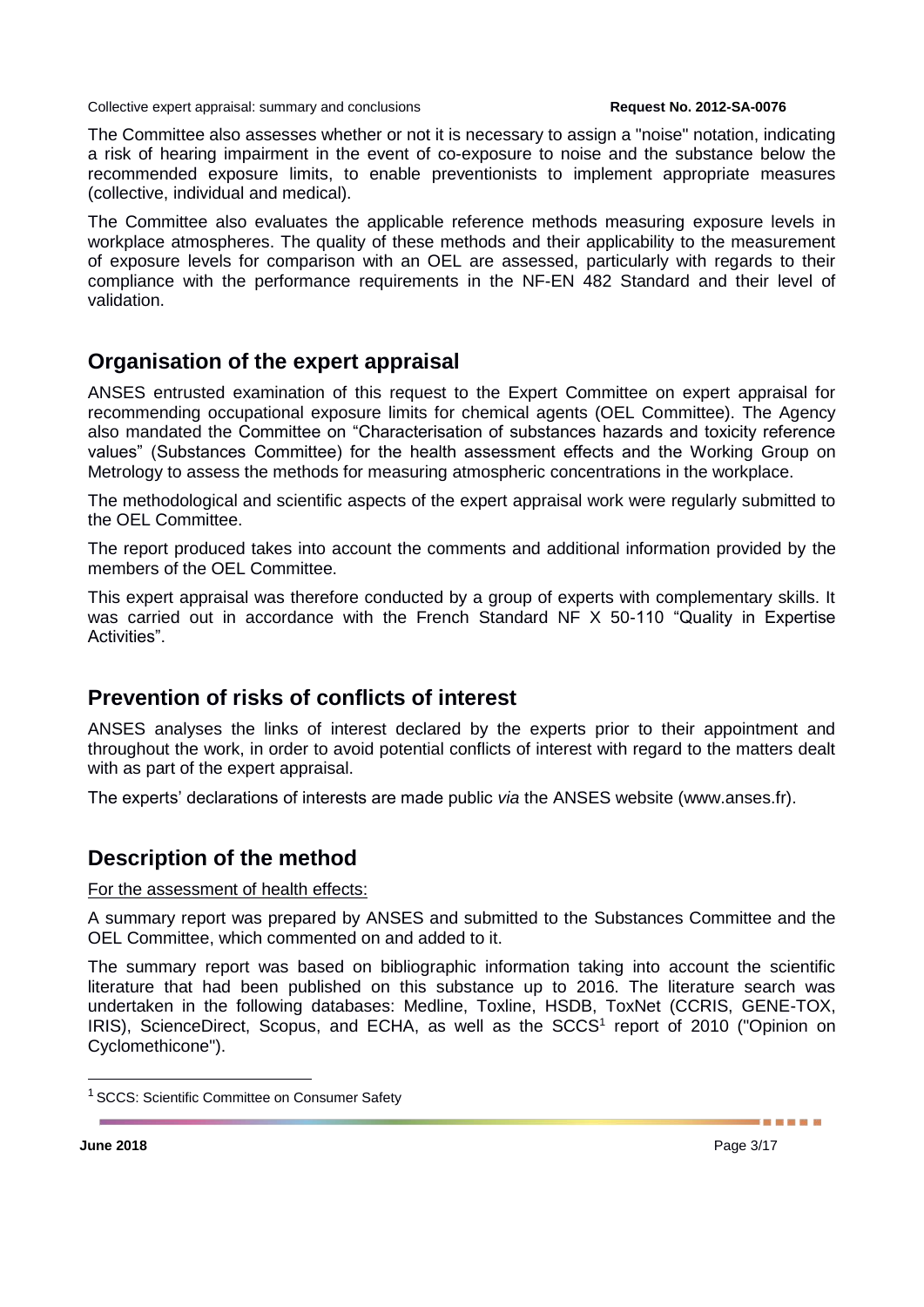The Committee also assesses whether or not it is necessary to assign a "noise" notation, indicating a risk of hearing impairment in the event of co-exposure to noise and the substance below the recommended exposure limits, to enable preventionists to implement appropriate measures (collective, individual and medical).

The Committee also evaluates the applicable reference methods measuring exposure levels in workplace atmospheres. The quality of these methods and their applicability to the measurement of exposure levels for comparison with an OEL are assessed, particularly with regards to their compliance with the performance requirements in the NF-EN 482 Standard and their level of validation.

## **Organisation of the expert appraisal**

ANSES entrusted examination of this request to the Expert Committee on expert appraisal for recommending occupational exposure limits for chemical agents (OEL Committee). The Agency also mandated the Committee on "Characterisation of substances hazards and toxicity reference values" (Substances Committee) for the health assessment effects and the Working Group on Metrology to assess the methods for measuring atmospheric concentrations in the workplace.

The methodological and scientific aspects of the expert appraisal work were regularly submitted to the OEL Committee.

The report produced takes into account the comments and additional information provided by the members of the OEL Committee.

This expert appraisal was therefore conducted by a group of experts with complementary skills. It was carried out in accordance with the French Standard NF X 50-110 "Quality in Expertise Activities".

## **Prevention of risks of conflicts of interest**

ANSES analyses the links of interest declared by the experts prior to their appointment and throughout the work, in order to avoid potential conflicts of interest with regard to the matters dealt with as part of the expert appraisal.

The experts' declarations of interests are made public *via* the ANSES website (www.anses.fr).

## **Description of the method**

#### For the assessment of health effects:

A summary report was prepared by ANSES and submitted to the Substances Committee and the OEL Committee, which commented on and added to it.

The summary report was based on bibliographic information taking into account the scientific literature that had been published on this substance up to 2016. The literature search was undertaken in the following databases: Medline, Toxline, HSDB, ToxNet (CCRIS, GENE-TOX, IRIS), ScienceDirect, Scopus, and ECHA, as well as the SCCS<sup>1</sup> report of 2010 ("Opinion on Cyclomethicone").

-

<sup>&</sup>lt;sup>1</sup> SCCS: Scientific Committee on Consumer Safety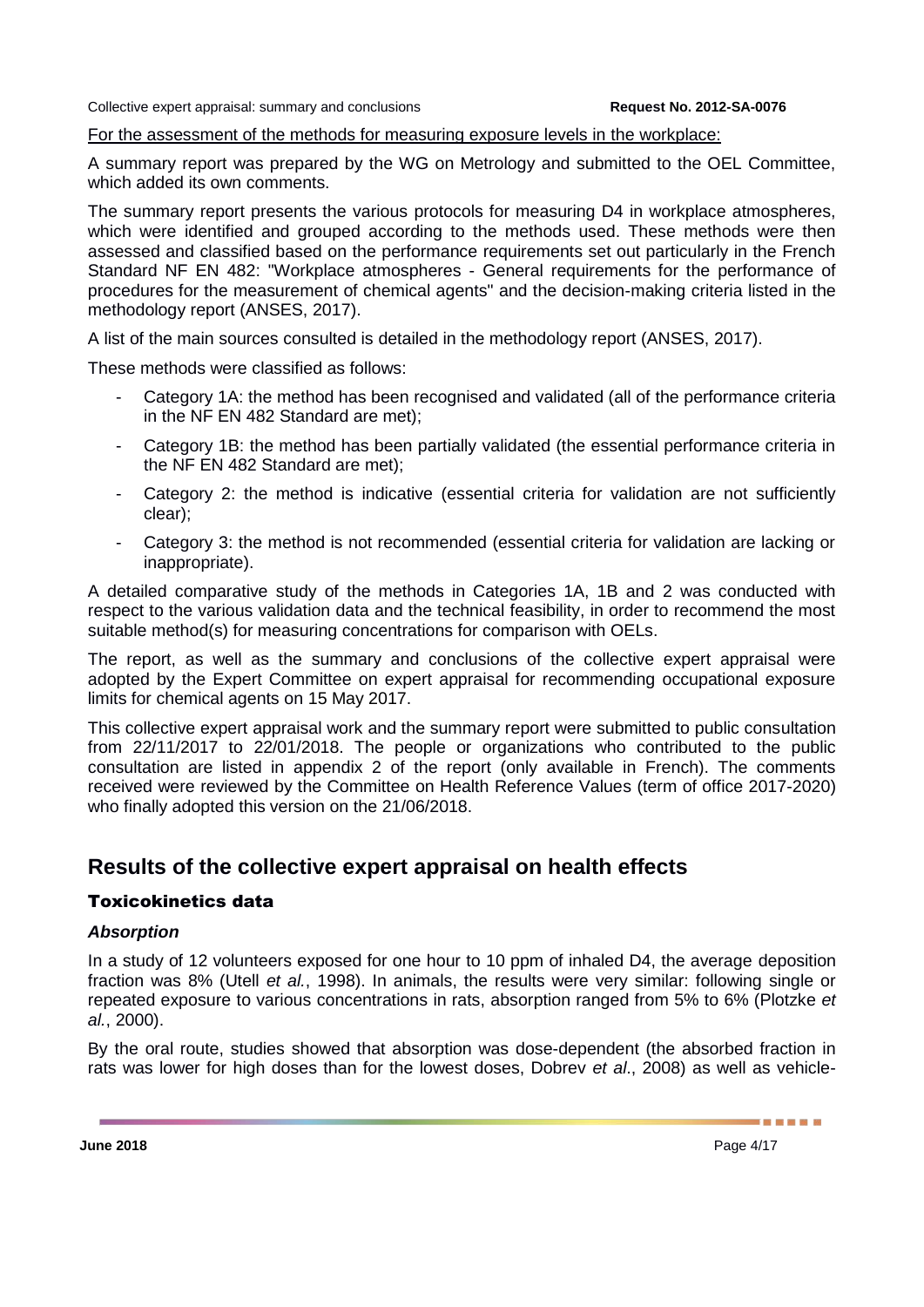#### For the assessment of the methods for measuring exposure levels in the workplace:

A summary report was prepared by the WG on Metrology and submitted to the OEL Committee, which added its own comments.

The summary report presents the various protocols for measuring D4 in workplace atmospheres, which were identified and grouped according to the methods used. These methods were then assessed and classified based on the performance requirements set out particularly in the French Standard NF EN 482: "Workplace atmospheres - General requirements for the performance of procedures for the measurement of chemical agents" and the decision-making criteria listed in the methodology report (ANSES, 2017).

A list of the main sources consulted is detailed in the methodology report (ANSES, 2017).

These methods were classified as follows:

- Category 1A: the method has been recognised and validated (all of the performance criteria in the NF EN 482 Standard are met);
- Category 1B: the method has been partially validated (the essential performance criteria in the NF EN 482 Standard are met);
- Category 2: the method is indicative (essential criteria for validation are not sufficiently clear);
- Category 3: the method is not recommended (essential criteria for validation are lacking or inappropriate).

A detailed comparative study of the methods in Categories 1A, 1B and 2 was conducted with respect to the various validation data and the technical feasibility, in order to recommend the most suitable method(s) for measuring concentrations for comparison with OELs.

The report, as well as the summary and conclusions of the collective expert appraisal were adopted by the Expert Committee on expert appraisal for recommending occupational exposure limits for chemical agents on 15 May 2017.

This collective expert appraisal work and the summary report were submitted to public consultation from 22/11/2017 to 22/01/2018. The people or organizations who contributed to the public consultation are listed in appendix 2 of the report (only available in French). The comments received were reviewed by the Committee on Health Reference Values (term of office 2017-2020) who finally adopted this version on the 21/06/2018.

## **Results of the collective expert appraisal on health effects**

### Toxicokinetics data

#### *Absorption*

In a study of 12 volunteers exposed for one hour to 10 ppm of inhaled D4, the average deposition fraction was 8% (Utell *et al.*, 1998). In animals, the results were very similar: following single or repeated exposure to various concentrations in rats, absorption ranged from 5% to 6% (Plotzke *et al.*, 2000).

By the oral route, studies showed that absorption was dose-dependent (the absorbed fraction in rats was lower for high doses than for the lowest doses, Dobrev *et al*., 2008) as well as vehicle-

**June 2018** Page 4/17

------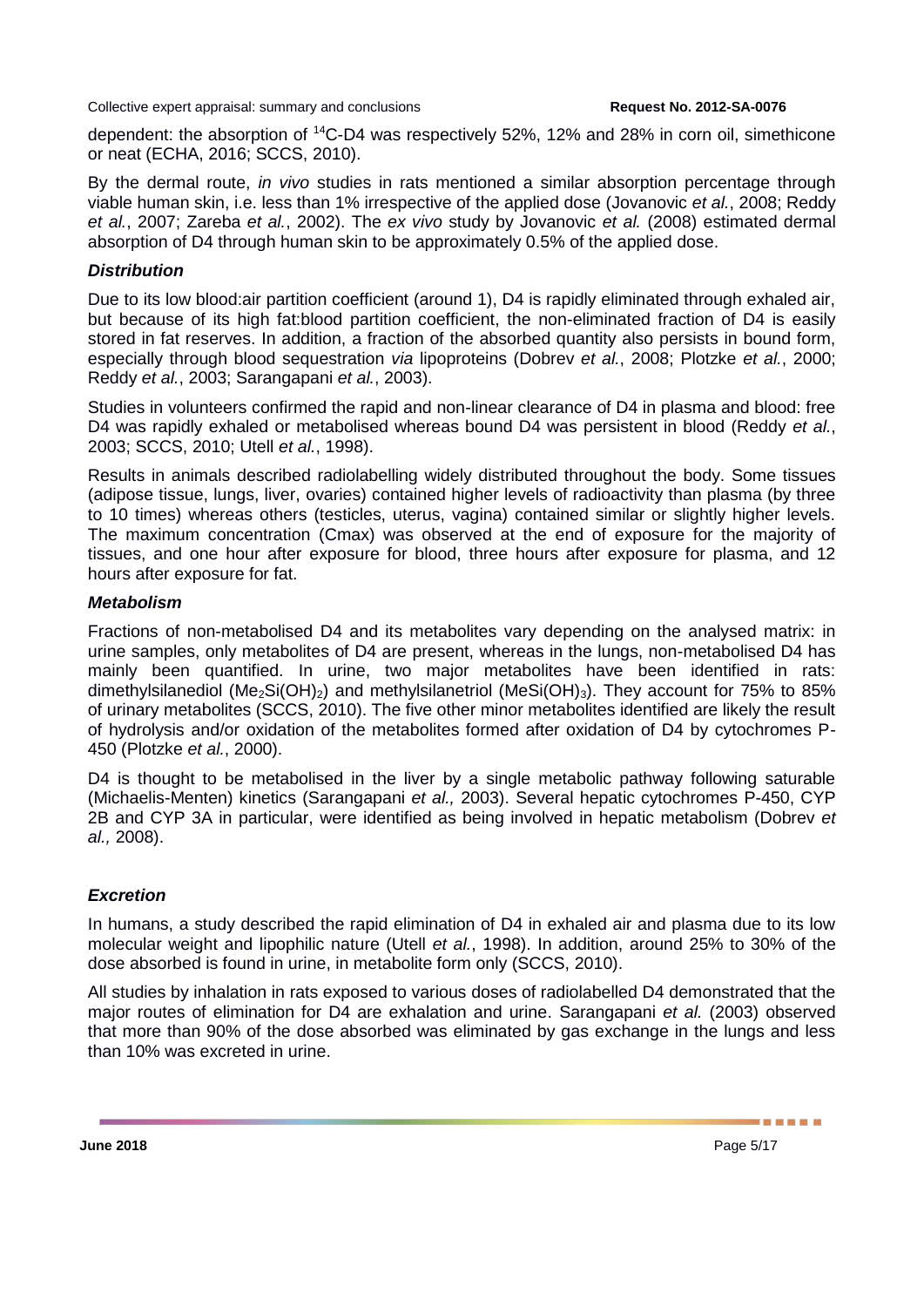dependent: the absorption of <sup>14</sup>C-D4 was respectively 52%, 12% and 28% in corn oil, simethicone or neat (ECHA, 2016; SCCS, 2010).

By the dermal route, *in vivo* studies in rats mentioned a similar absorption percentage through viable human skin, i.e. less than 1% irrespective of the applied dose (Jovanovic *et al.*, 2008; Reddy *et al.*, 2007; Zareba *et al.*, 2002). The *ex vivo* study by Jovanovic *et al.* (2008) estimated dermal absorption of D4 through human skin to be approximately 0.5% of the applied dose.

#### *Distribution*

Due to its low blood:air partition coefficient (around 1), D4 is rapidly eliminated through exhaled air, but because of its high fat:blood partition coefficient, the non-eliminated fraction of D4 is easily stored in fat reserves. In addition, a fraction of the absorbed quantity also persists in bound form, especially through blood sequestration *via* lipoproteins (Dobrev *et al.*, 2008; Plotzke *et al.*, 2000; Reddy *et al.*, 2003; Sarangapani *et al.*, 2003).

Studies in volunteers confirmed the rapid and non-linear clearance of D4 in plasma and blood: free D4 was rapidly exhaled or metabolised whereas bound D4 was persistent in blood (Reddy *et al.*, 2003; SCCS, 2010; Utell *et al.*, 1998).

Results in animals described radiolabelling widely distributed throughout the body. Some tissues (adipose tissue, lungs, liver, ovaries) contained higher levels of radioactivity than plasma (by three to 10 times) whereas others (testicles, uterus, vagina) contained similar or slightly higher levels. The maximum concentration (Cmax) was observed at the end of exposure for the majority of tissues, and one hour after exposure for blood, three hours after exposure for plasma, and 12 hours after exposure for fat.

### *Metabolism*

Fractions of non-metabolised D4 and its metabolites vary depending on the analysed matrix: in urine samples, only metabolites of D4 are present, whereas in the lungs, non-metabolised D4 has mainly been quantified. In urine, two major metabolites have been identified in rats: dimethylsilanediol (Me<sub>2</sub>Si(OH)<sub>2</sub>) and methylsilanetriol (MeSi(OH)<sub>3</sub>). They account for 75% to 85% of urinary metabolites (SCCS, 2010). The five other minor metabolites identified are likely the result of hydrolysis and/or oxidation of the metabolites formed after oxidation of D4 by cytochromes P-450 (Plotzke *et al.*, 2000).

D4 is thought to be metabolised in the liver by a single metabolic pathway following saturable (Michaelis-Menten) kinetics (Sarangapani *et al.,* 2003). Several hepatic cytochromes P-450, CYP 2B and CYP 3A in particular, were identified as being involved in hepatic metabolism (Dobrev *et al.,* 2008).

### *Excretion*

In humans, a study described the rapid elimination of D4 in exhaled air and plasma due to its low molecular weight and lipophilic nature (Utell *et al.*, 1998). In addition, around 25% to 30% of the dose absorbed is found in urine, in metabolite form only (SCCS, 2010).

All studies by inhalation in rats exposed to various doses of radiolabelled D4 demonstrated that the major routes of elimination for D4 are exhalation and urine. Sarangapani *et al.* (2003) observed that more than 90% of the dose absorbed was eliminated by gas exchange in the lungs and less than 10% was excreted in urine.

**June 2018** Page 5/17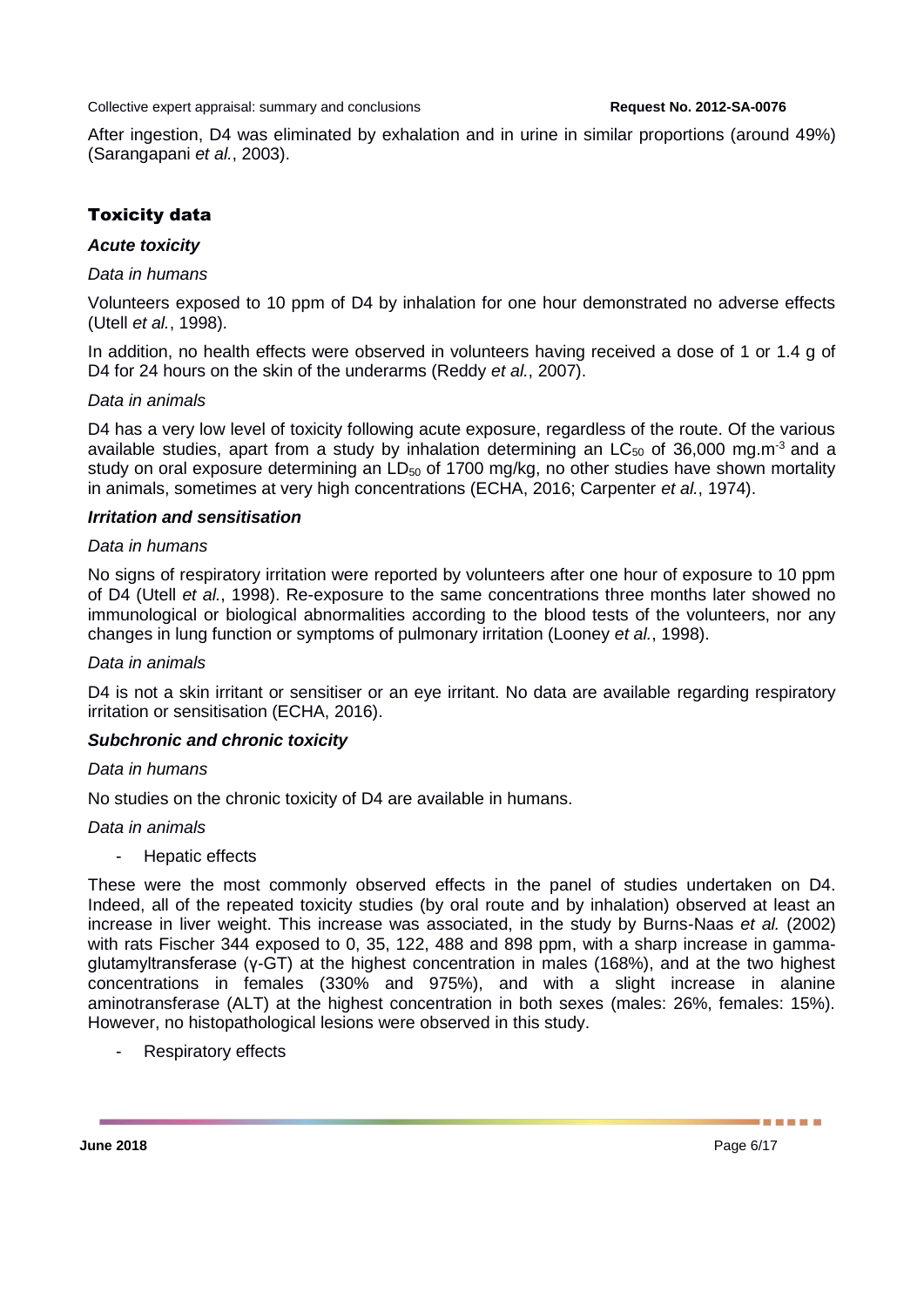After ingestion, D4 was eliminated by exhalation and in urine in similar proportions (around 49%) (Sarangapani *et al.*, 2003).

### Toxicity data

#### *Acute toxicity*

#### *Data in humans*

Volunteers exposed to 10 ppm of D4 by inhalation for one hour demonstrated no adverse effects (Utell *et al.*, 1998).

In addition, no health effects were observed in volunteers having received a dose of 1 or 1.4 g of D4 for 24 hours on the skin of the underarms (Reddy *et al.*, 2007).

#### *Data in animals*

D4 has a very low level of toxicity following acute exposure, regardless of the route. Of the various available studies, apart from a study by inhalation determining an  $LC_{50}$  of 36,000 mg.m<sup>-3</sup> and a study on oral exposure determining an  $LD_{50}$  of 1700 mg/kg, no other studies have shown mortality in animals, sometimes at very high concentrations (ECHA, 2016; Carpenter *et al.*, 1974).

#### *Irritation and sensitisation*

#### *Data in humans*

No signs of respiratory irritation were reported by volunteers after one hour of exposure to 10 ppm of D4 (Utell *et al.*, 1998). Re-exposure to the same concentrations three months later showed no immunological or biological abnormalities according to the blood tests of the volunteers, nor any changes in lung function or symptoms of pulmonary irritation (Looney *et al.*, 1998).

#### *Data in animals*

D4 is not a skin irritant or sensitiser or an eye irritant. No data are available regarding respiratory irritation or sensitisation (ECHA, 2016).

#### *Subchronic and chronic toxicity*

#### *Data in humans*

No studies on the chronic toxicity of D4 are available in humans.

#### *Data in animals*

Hepatic effects

These were the most commonly observed effects in the panel of studies undertaken on D4. Indeed, all of the repeated toxicity studies (by oral route and by inhalation) observed at least an increase in liver weight. This increase was associated, in the study by Burns-Naas *et al.* (2002) with rats Fischer 344 exposed to 0, 35, 122, 488 and 898 ppm, with a sharp increase in gammaglutamyltransferase (γ-GT) at the highest concentration in males (168%), and at the two highest concentrations in females (330% and 975%), and with a slight increase in alanine aminotransferase (ALT) at the highest concentration in both sexes (males: 26%, females: 15%). However, no histopathological lesions were observed in this study.

- Respiratory effects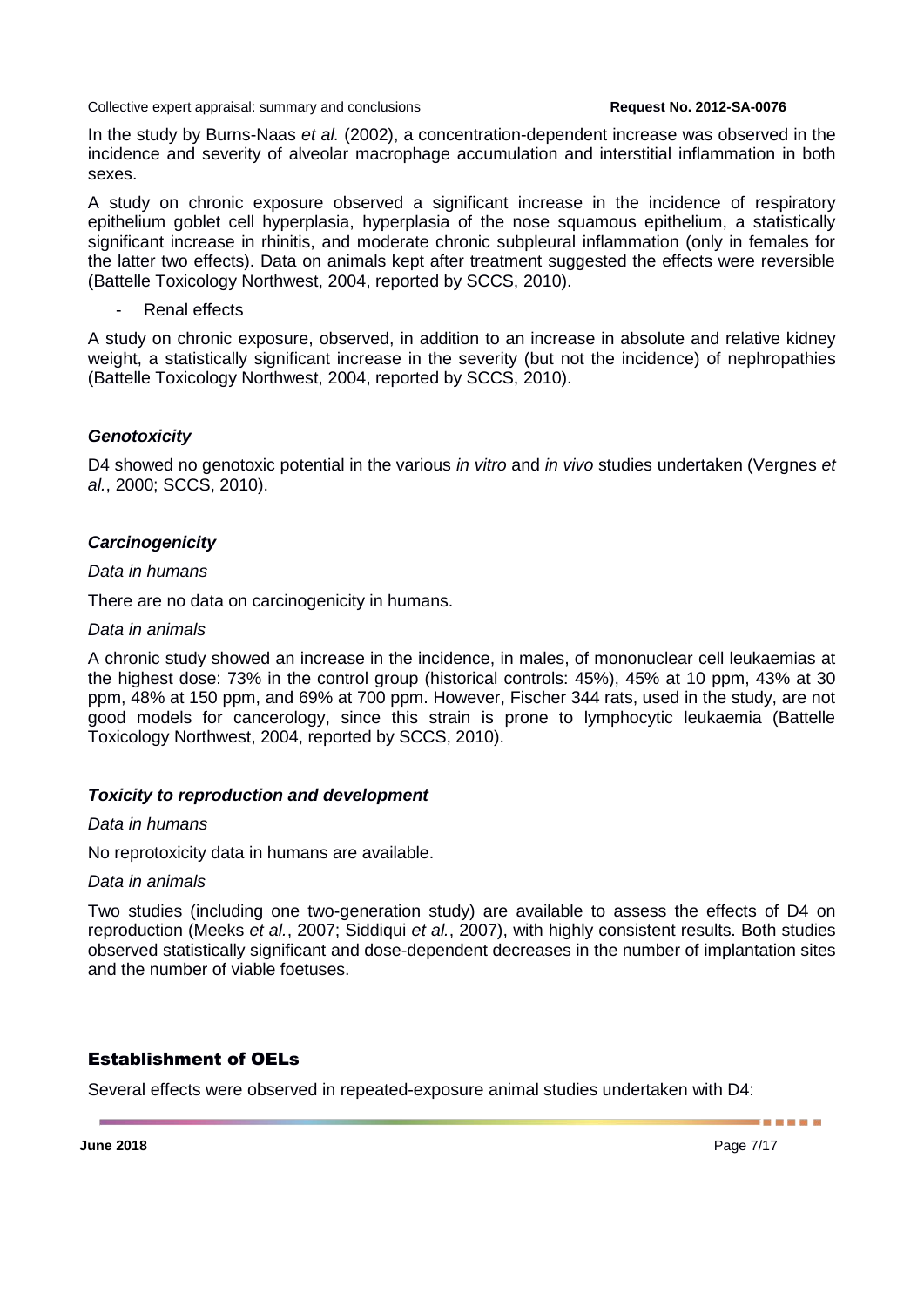In the study by Burns-Naas *et al.* (2002), a concentration-dependent increase was observed in the incidence and severity of alveolar macrophage accumulation and interstitial inflammation in both sexes.

A study on chronic exposure observed a significant increase in the incidence of respiratory epithelium goblet cell hyperplasia, hyperplasia of the nose squamous epithelium, a statistically significant increase in rhinitis, and moderate chronic subpleural inflammation (only in females for the latter two effects). Data on animals kept after treatment suggested the effects were reversible (Battelle Toxicology Northwest, 2004, reported by SCCS, 2010).

Renal effects

A study on chronic exposure, observed, in addition to an increase in absolute and relative kidney weight, a statistically significant increase in the severity (but not the incidence) of nephropathies (Battelle Toxicology Northwest, 2004, reported by SCCS, 2010).

#### *Genotoxicity*

D4 showed no genotoxic potential in the various *in vitro* and *in vivo* studies undertaken (Vergnes *et al.*, 2000; SCCS, 2010).

#### *Carcinogenicity*

#### *Data in humans*

There are no data on carcinogenicity in humans.

#### *Data in animals*

A chronic study showed an increase in the incidence, in males, of mononuclear cell leukaemias at the highest dose: 73% in the control group (historical controls: 45%), 45% at 10 ppm, 43% at 30 ppm, 48% at 150 ppm, and 69% at 700 ppm. However, Fischer 344 rats, used in the study, are not good models for cancerology, since this strain is prone to lymphocytic leukaemia (Battelle Toxicology Northwest, 2004, reported by SCCS, 2010).

#### *Toxicity to reproduction and development*

#### *Data in humans*

No reprotoxicity data in humans are available.

#### *Data in animals*

Two studies (including one two-generation study) are available to assess the effects of D4 on reproduction (Meeks *et al.*, 2007; Siddiqui *et al.*, 2007), with highly consistent results. Both studies observed statistically significant and dose-dependent decreases in the number of implantation sites and the number of viable foetuses.

### Establishment of OELs

Several effects were observed in repeated-exposure animal studies undertaken with D4: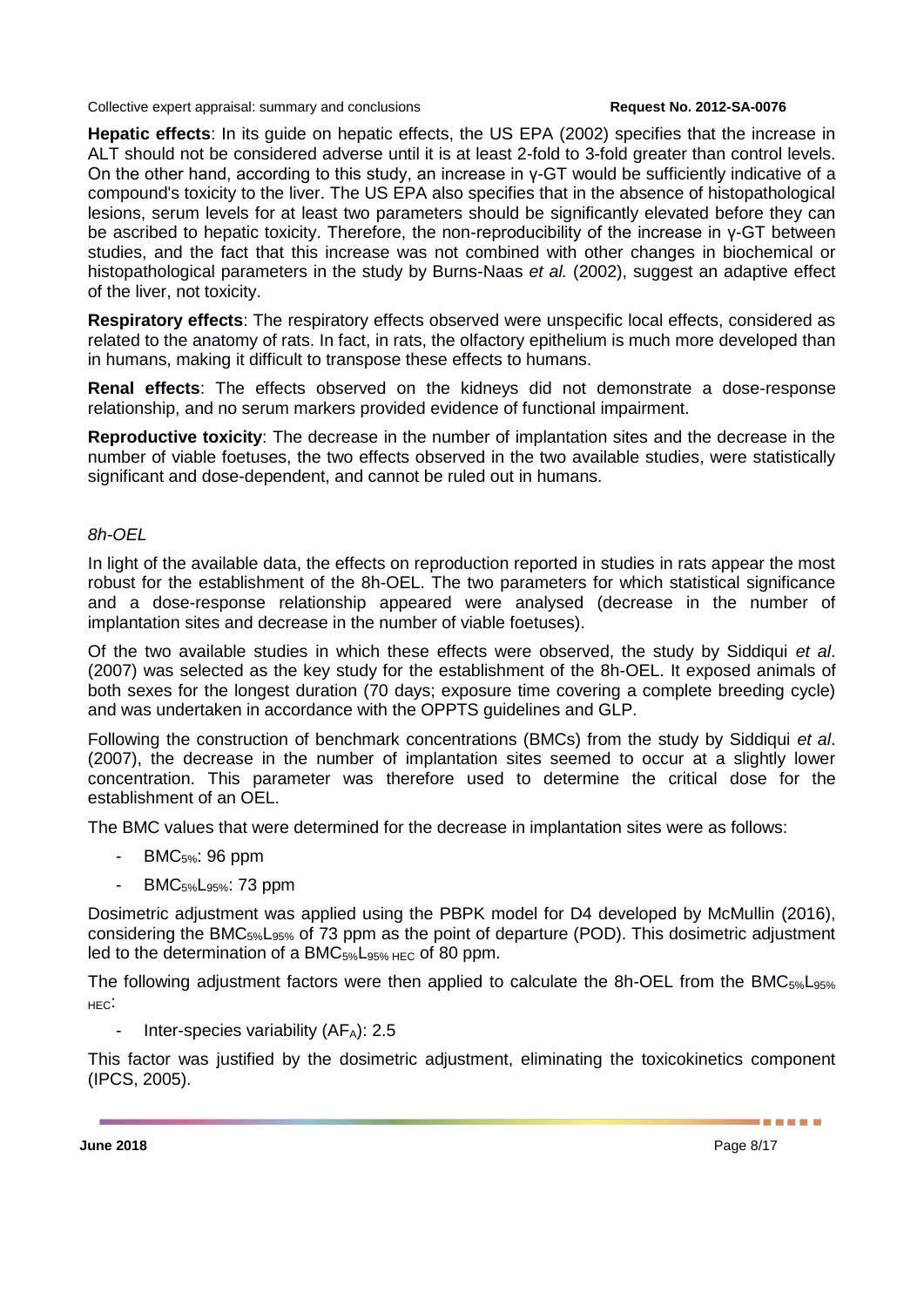**Hepatic effects**: In its guide on hepatic effects, the US EPA (2002) specifies that the increase in ALT should not be considered adverse until it is at least 2-fold to 3-fold greater than control levels. On the other hand, according to this study, an increase in γ-GT would be sufficiently indicative of a compound's toxicity to the liver. The US EPA also specifies that in the absence of histopathological lesions, serum levels for at least two parameters should be significantly elevated before they can be ascribed to hepatic toxicity. Therefore, the non-reproducibility of the increase in γ-GT between studies, and the fact that this increase was not combined with other changes in biochemical or histopathological parameters in the study by Burns-Naas *et al.* (2002), suggest an adaptive effect of the liver, not toxicity.

**Respiratory effects**: The respiratory effects observed were unspecific local effects, considered as related to the anatomy of rats. In fact, in rats, the olfactory epithelium is much more developed than in humans, making it difficult to transpose these effects to humans.

**Renal effects**: The effects observed on the kidneys did not demonstrate a dose-response relationship, and no serum markers provided evidence of functional impairment.

**Reproductive toxicity**: The decrease in the number of implantation sites and the decrease in the number of viable foetuses, the two effects observed in the two available studies, were statistically significant and dose-dependent, and cannot be ruled out in humans.

#### *8h-OEL*

In light of the available data, the effects on reproduction reported in studies in rats appear the most robust for the establishment of the 8h-OEL. The two parameters for which statistical significance and a dose-response relationship appeared were analysed (decrease in the number of implantation sites and decrease in the number of viable foetuses).

Of the two available studies in which these effects were observed, the study by Siddiqui *et al*. (2007) was selected as the key study for the establishment of the 8h-OEL. It exposed animals of both sexes for the longest duration (70 days; exposure time covering a complete breeding cycle) and was undertaken in accordance with the OPPTS guidelines and GLP.

Following the construction of benchmark concentrations (BMCs) from the study by Siddiqui *et al*. (2007), the decrease in the number of implantation sites seemed to occur at a slightly lower concentration. This parameter was therefore used to determine the critical dose for the establishment of an OEL.

The BMC values that were determined for the decrease in implantation sites were as follows:

- $BMC_{5\%}$ : 96 ppm
- BMC5%L95%: 73 ppm

Dosimetric adjustment was applied using the PBPK model for D4 developed by McMullin (2016), considering the BMC<sub>5%</sub>L<sub>95%</sub> of 73 ppm as the point of departure (POD). This dosimetric adjustment led to the determination of a BMC $_{5\%}$ L<sub>95% HEC</sub> of 80 ppm.

The following adjustment factors were then applied to calculate the 8h-OEL from the BMC<sub>5%</sub>L<sub>95%</sub> HEC:

Inter-species variability  $(AF_A)$ : 2.5

This factor was justified by the dosimetric adjustment, eliminating the toxicokinetics component (IPCS, 2005).

-------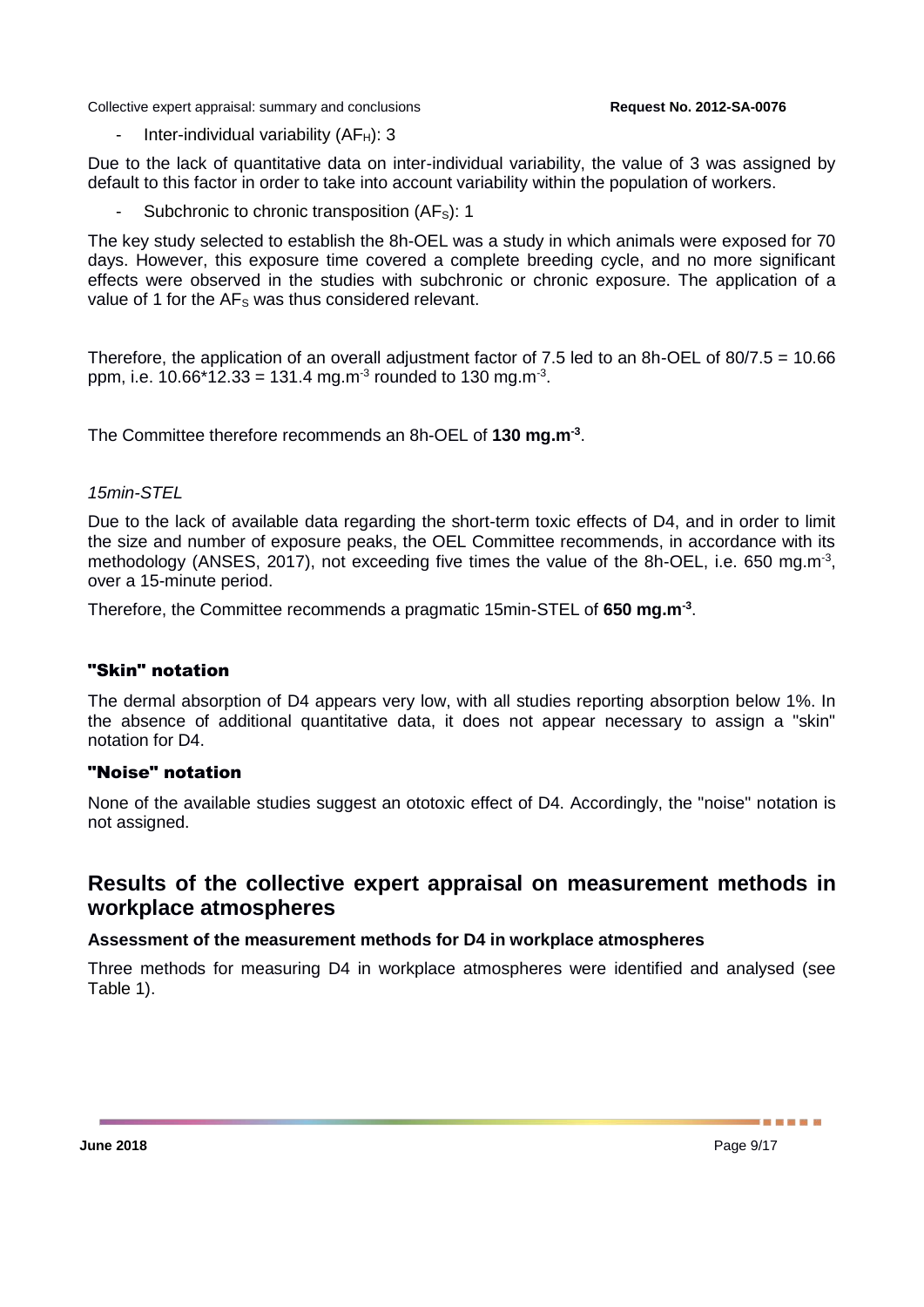Inter-individual variability  $(AF_H)$ : 3

Due to the lack of quantitative data on inter-individual variability, the value of 3 was assigned by default to this factor in order to take into account variability within the population of workers.

Subchronic to chronic transposition (AF<sub>S</sub>): 1

The key study selected to establish the 8h-OEL was a study in which animals were exposed for 70 days. However, this exposure time covered a complete breeding cycle, and no more significant effects were observed in the studies with subchronic or chronic exposure. The application of a value of 1 for the AF<sub>s</sub> was thus considered relevant.

Therefore, the application of an overall adjustment factor of 7.5 led to an 8h-OEL of 80/7.5 = 10.66 ppm, i.e. 10.66\*12.33 = 131.4 mg.m<sup>-3</sup> rounded to 130 mg.m<sup>-3</sup>.

The Committee therefore recommends an 8h-OEL of **130 mg.m-3** .

#### *15min-STEL*

Due to the lack of available data regarding the short-term toxic effects of D4, and in order to limit the size and number of exposure peaks, the OEL Committee recommends, in accordance with its methodology (ANSES, 2017), not exceeding five times the value of the 8h-OEL, i.e. 650 mg.m<sup>-3</sup>, over a 15-minute period.

Therefore, the Committee recommends a pragmatic 15min-STEL of **650 mg.m-3** .

#### "Skin" notation

The dermal absorption of D4 appears very low, with all studies reporting absorption below 1%. In the absence of additional quantitative data, it does not appear necessary to assign a "skin" notation for D4.

#### "Noise" notation

None of the available studies suggest an ototoxic effect of D4. Accordingly, the "noise" notation is not assigned.

## **Results of the collective expert appraisal on measurement methods in workplace atmospheres**

#### **Assessment of the measurement methods for D4 in workplace atmospheres**

Three methods for measuring D4 in workplace atmospheres were identified and analysed (see [Table 1\)](#page-9-0).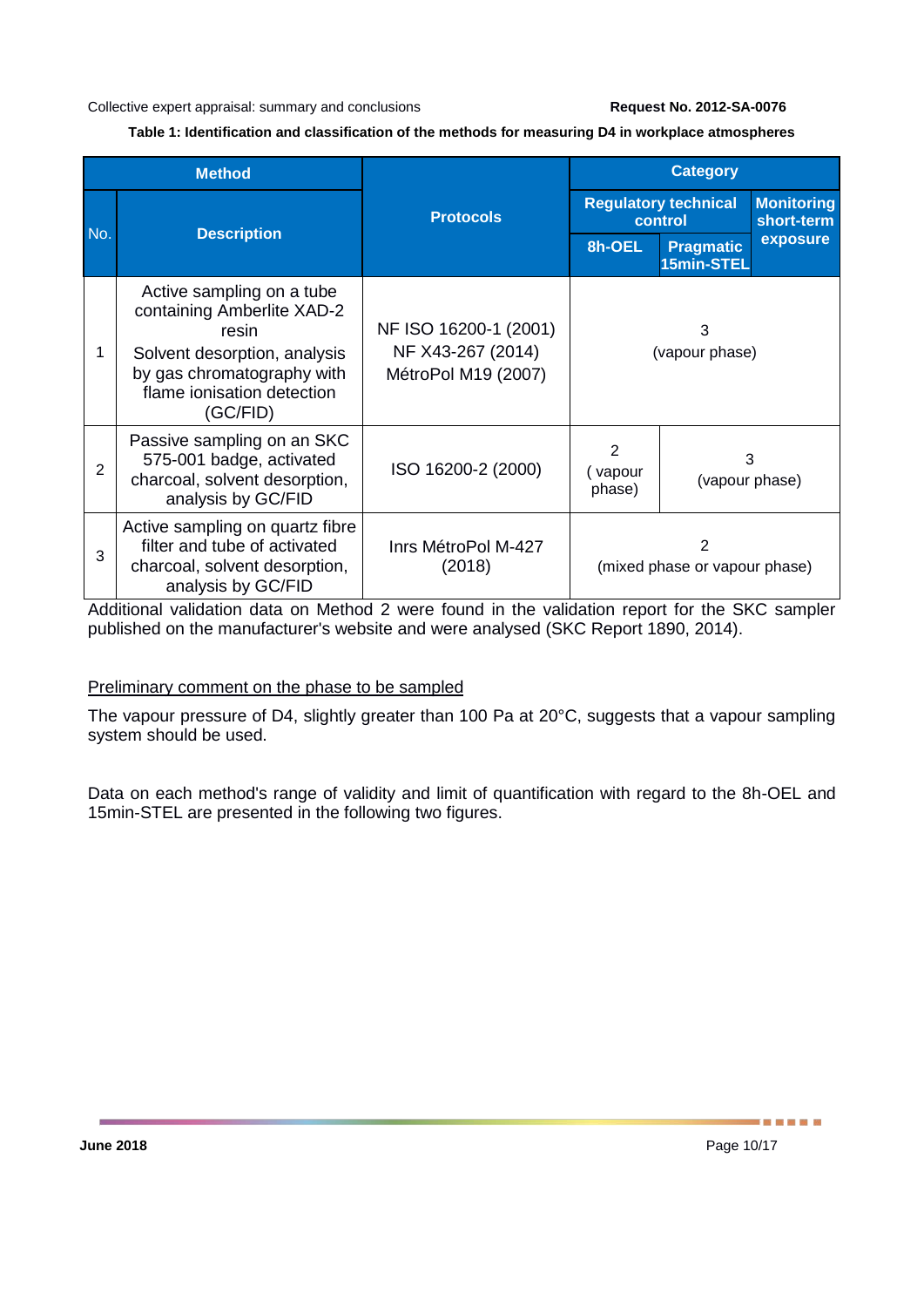#### **Table 1: Identification and classification of the methods for measuring D4 in workplace atmospheres**

<span id="page-9-0"></span>

| <b>Method</b> |                                                                                                                                                                          |                                                                   | <b>Category</b>                        |                                |                                 |
|---------------|--------------------------------------------------------------------------------------------------------------------------------------------------------------------------|-------------------------------------------------------------------|----------------------------------------|--------------------------------|---------------------------------|
| No.           | <b>Description</b>                                                                                                                                                       | <b>Protocols</b>                                                  | <b>Regulatory technical</b><br>control |                                | <b>Monitoring</b><br>short-term |
|               |                                                                                                                                                                          |                                                                   | 8h-OEL                                 | <b>Pragmatic</b><br>15min-STEL | exposure                        |
|               | Active sampling on a tube<br>containing Amberlite XAD-2<br>resin<br>Solvent desorption, analysis<br>by gas chromatography with<br>flame ionisation detection<br>(GC/FID) | NF ISO 16200-1 (2001)<br>NF X43-267 (2014)<br>MétroPol M19 (2007) | 3<br>(vapour phase)                    |                                |                                 |
| 2             | Passive sampling on an SKC<br>575-001 badge, activated<br>charcoal, solvent desorption,<br>analysis by GC/FID                                                            | ISO 16200-2 (2000)                                                | 2<br>vapour<br>phase)                  | 3<br>(vapour phase)            |                                 |
| 3             | Active sampling on quartz fibre<br>filter and tube of activated<br>charcoal, solvent desorption,<br>analysis by GC/FID                                                   | Inrs MétroPol M-427<br>(2018)                                     | 2<br>(mixed phase or vapour phase)     |                                |                                 |

Additional validation data on Method 2 were found in the validation report for the SKC sampler published on the manufacturer's website and were analysed (SKC Report 1890, 2014).

#### Preliminary comment on the phase to be sampled

The vapour pressure of D4, slightly greater than 100 Pa at 20°C, suggests that a vapour sampling system should be used.

Data on each method's range of validity and limit of quantification with regard to the 8h-OEL and 15min-STEL are presented in the following two figures.

-----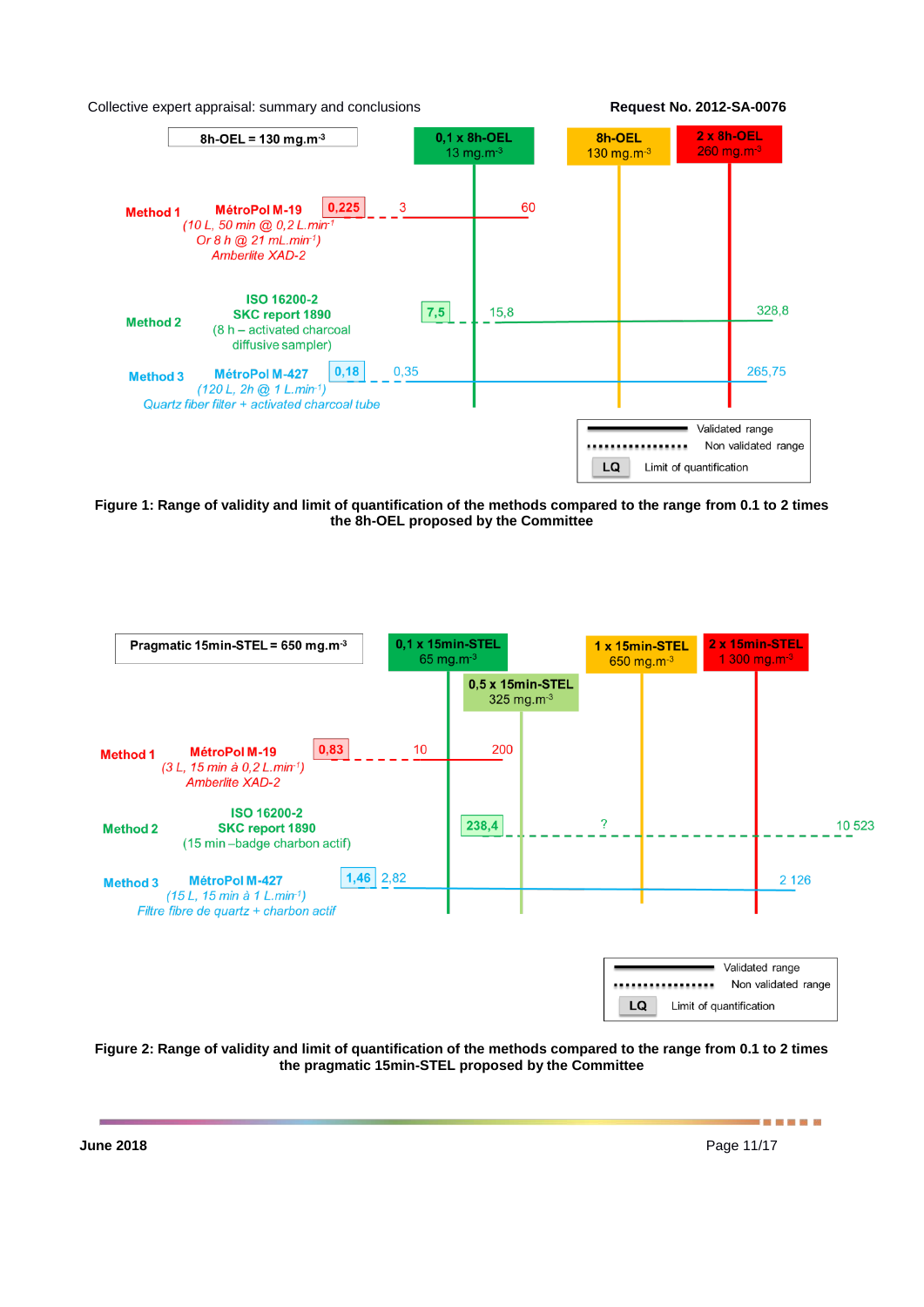



**Figure 1: Range of validity and limit of quantification of the methods compared to the range from 0.1 to 2 times the 8h-OEL proposed by the Committee**



**Figure 2: Range of validity and limit of quantification of the methods compared to the range from 0.1 to 2 times the pragmatic 15min-STEL proposed by the Committee**

**June 2018** Page 11/17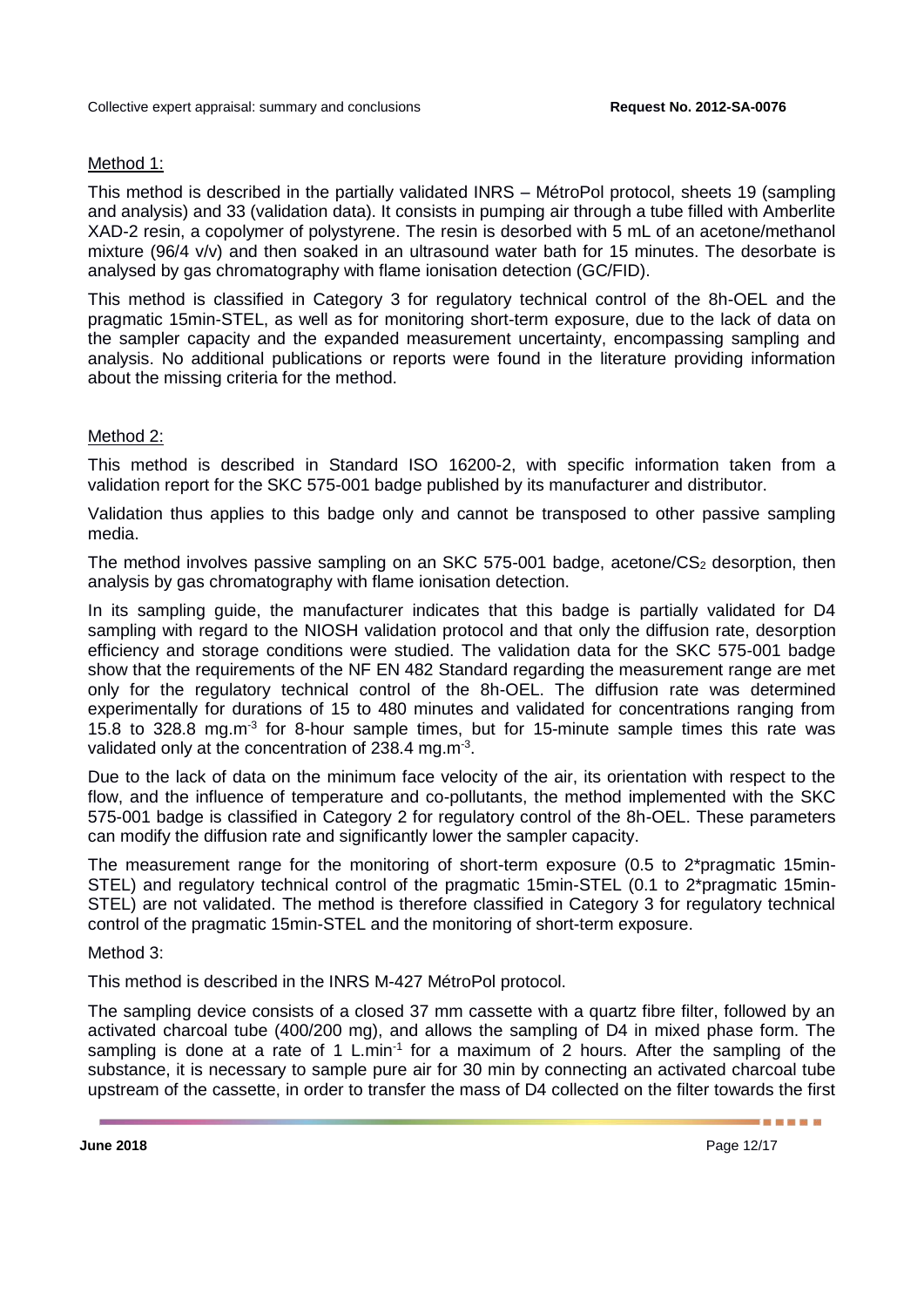#### Method 1:

This method is described in the partially validated INRS – MétroPol protocol, sheets 19 (sampling and analysis) and 33 (validation data). It consists in pumping air through a tube filled with Amberlite XAD-2 resin, a copolymer of polystyrene. The resin is desorbed with 5 mL of an acetone/methanol mixture (96/4 v/v) and then soaked in an ultrasound water bath for 15 minutes. The desorbate is analysed by gas chromatography with flame ionisation detection (GC/FID).

This method is classified in Category 3 for regulatory technical control of the 8h-OEL and the pragmatic 15min-STEL, as well as for monitoring short-term exposure, due to the lack of data on the sampler capacity and the expanded measurement uncertainty, encompassing sampling and analysis. No additional publications or reports were found in the literature providing information about the missing criteria for the method.

### Method 2:

This method is described in Standard ISO 16200-2, with specific information taken from a validation report for the SKC 575-001 badge published by its manufacturer and distributor.

Validation thus applies to this badge only and cannot be transposed to other passive sampling media.

The method involves passive sampling on an SKC 575-001 badge, acetone/CS<sub>2</sub> desorption, then analysis by gas chromatography with flame ionisation detection.

In its sampling guide, the manufacturer indicates that this badge is partially validated for D4 sampling with regard to the NIOSH validation protocol and that only the diffusion rate, desorption efficiency and storage conditions were studied. The validation data for the SKC 575-001 badge show that the requirements of the NF EN 482 Standard regarding the measurement range are met only for the regulatory technical control of the 8h-OEL. The diffusion rate was determined experimentally for durations of 15 to 480 minutes and validated for concentrations ranging from 15.8 to 328.8 mg.m<sup>-3</sup> for 8-hour sample times, but for 15-minute sample times this rate was validated only at the concentration of 238.4 mg.m<sup>-3</sup>.

Due to the lack of data on the minimum face velocity of the air, its orientation with respect to the flow, and the influence of temperature and co-pollutants, the method implemented with the SKC 575-001 badge is classified in Category 2 for regulatory control of the 8h-OEL. These parameters can modify the diffusion rate and significantly lower the sampler capacity.

The measurement range for the monitoring of short-term exposure (0.5 to 2\*pragmatic 15min-STEL) and regulatory technical control of the pragmatic 15min-STEL (0.1 to 2\*pragmatic 15min-STEL) are not validated. The method is therefore classified in Category 3 for regulatory technical control of the pragmatic 15min-STEL and the monitoring of short-term exposure.

Method 3:

This method is described in the INRS M-427 MétroPol protocol.

The sampling device consists of a closed 37 mm cassette with a quartz fibre filter, followed by an activated charcoal tube (400/200 mg), and allows the sampling of D4 in mixed phase form. The sampling is done at a rate of 1 L.min<sup>-1</sup> for a maximum of 2 hours. After the sampling of the substance, it is necessary to sample pure air for 30 min by connecting an activated charcoal tube upstream of the cassette, in order to transfer the mass of D4 collected on the filter towards the first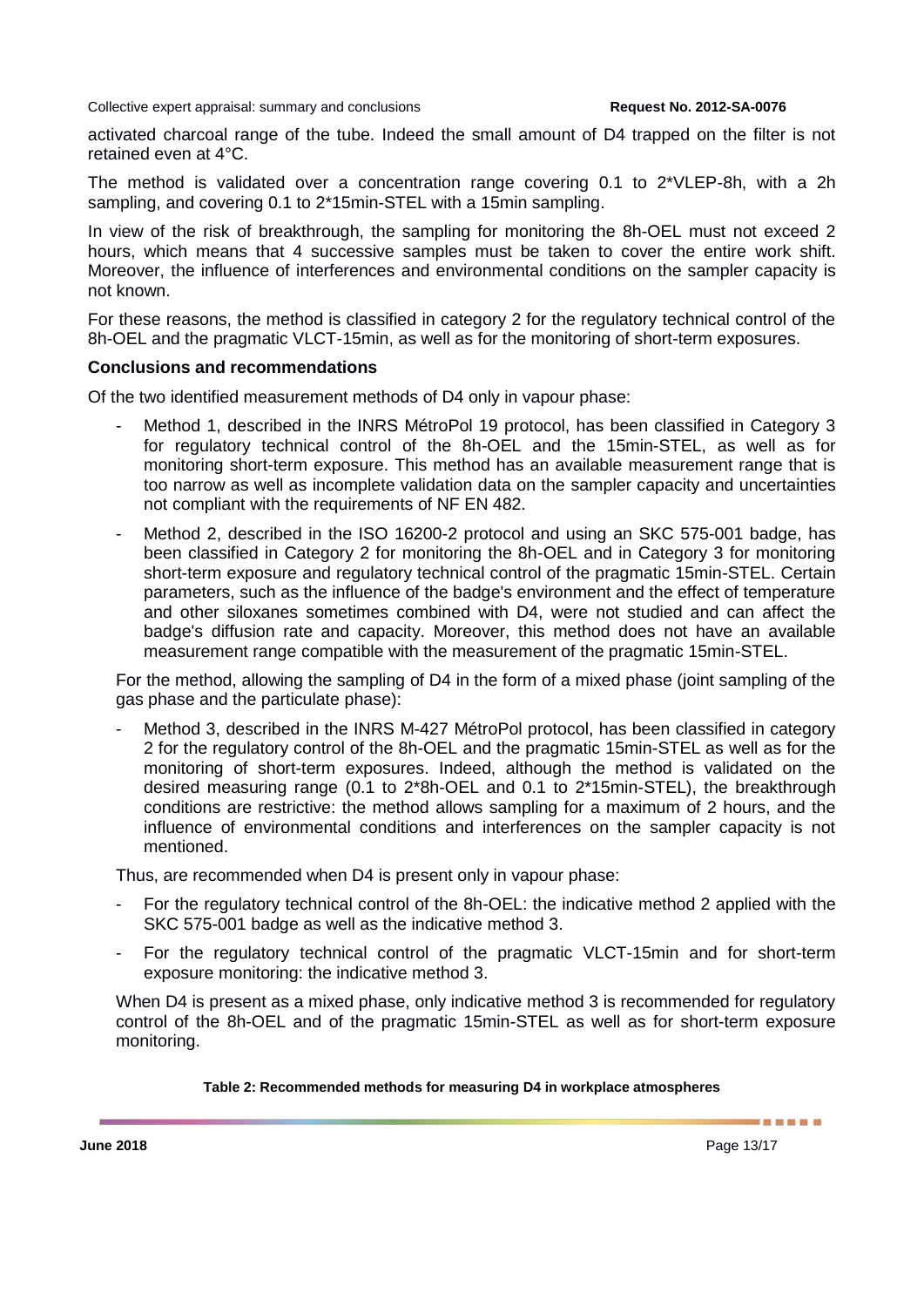activated charcoal range of the tube. Indeed the small amount of D4 trapped on the filter is not retained even at 4°C.

The method is validated over a concentration range covering 0.1 to 2\*VLEP-8h, with a 2h sampling, and covering 0.1 to 2\*15min-STEL with a 15min sampling.

In view of the risk of breakthrough, the sampling for monitoring the 8h-OEL must not exceed 2 hours, which means that 4 successive samples must be taken to cover the entire work shift. Moreover, the influence of interferences and environmental conditions on the sampler capacity is not known.

For these reasons, the method is classified in category 2 for the regulatory technical control of the 8h-OEL and the pragmatic VLCT-15min, as well as for the monitoring of short-term exposures.

#### **Conclusions and recommendations**

Of the two identified measurement methods of D4 only in vapour phase:

- Method 1, described in the INRS MétroPol 19 protocol, has been classified in Category 3 for regulatory technical control of the 8h-OEL and the 15min-STEL, as well as for monitoring short-term exposure. This method has an available measurement range that is too narrow as well as incomplete validation data on the sampler capacity and uncertainties not compliant with the requirements of NF EN 482.
- Method 2, described in the ISO 16200-2 protocol and using an SKC 575-001 badge, has been classified in Category 2 for monitoring the 8h-OEL and in Category 3 for monitoring short-term exposure and regulatory technical control of the pragmatic 15min-STEL. Certain parameters, such as the influence of the badge's environment and the effect of temperature and other siloxanes sometimes combined with D4, were not studied and can affect the badge's diffusion rate and capacity. Moreover, this method does not have an available measurement range compatible with the measurement of the pragmatic 15min-STEL.

For the method, allowing the sampling of D4 in the form of a mixed phase (joint sampling of the gas phase and the particulate phase):

Method 3, described in the INRS M-427 MétroPol protocol, has been classified in category 2 for the regulatory control of the 8h-OEL and the pragmatic 15min-STEL as well as for the monitoring of short-term exposures. Indeed, although the method is validated on the desired measuring range (0.1 to 2\*8h-OEL and 0.1 to 2\*15min-STEL), the breakthrough conditions are restrictive: the method allows sampling for a maximum of 2 hours, and the influence of environmental conditions and interferences on the sampler capacity is not mentioned.

Thus, are recommended when D4 is present only in vapour phase:

- For the regulatory technical control of the 8h-OEL: the indicative method 2 applied with the SKC 575-001 badge as well as the indicative method 3.
- For the regulatory technical control of the pragmatic VLCT-15min and for short-term exposure monitoring: the indicative method 3.

When D4 is present as a mixed phase, only indicative method 3 is recommended for regulatory control of the 8h-OEL and of the pragmatic 15min-STEL as well as for short-term exposure monitoring.

#### **Table 2: Recommended methods for measuring D4 in workplace atmospheres**

------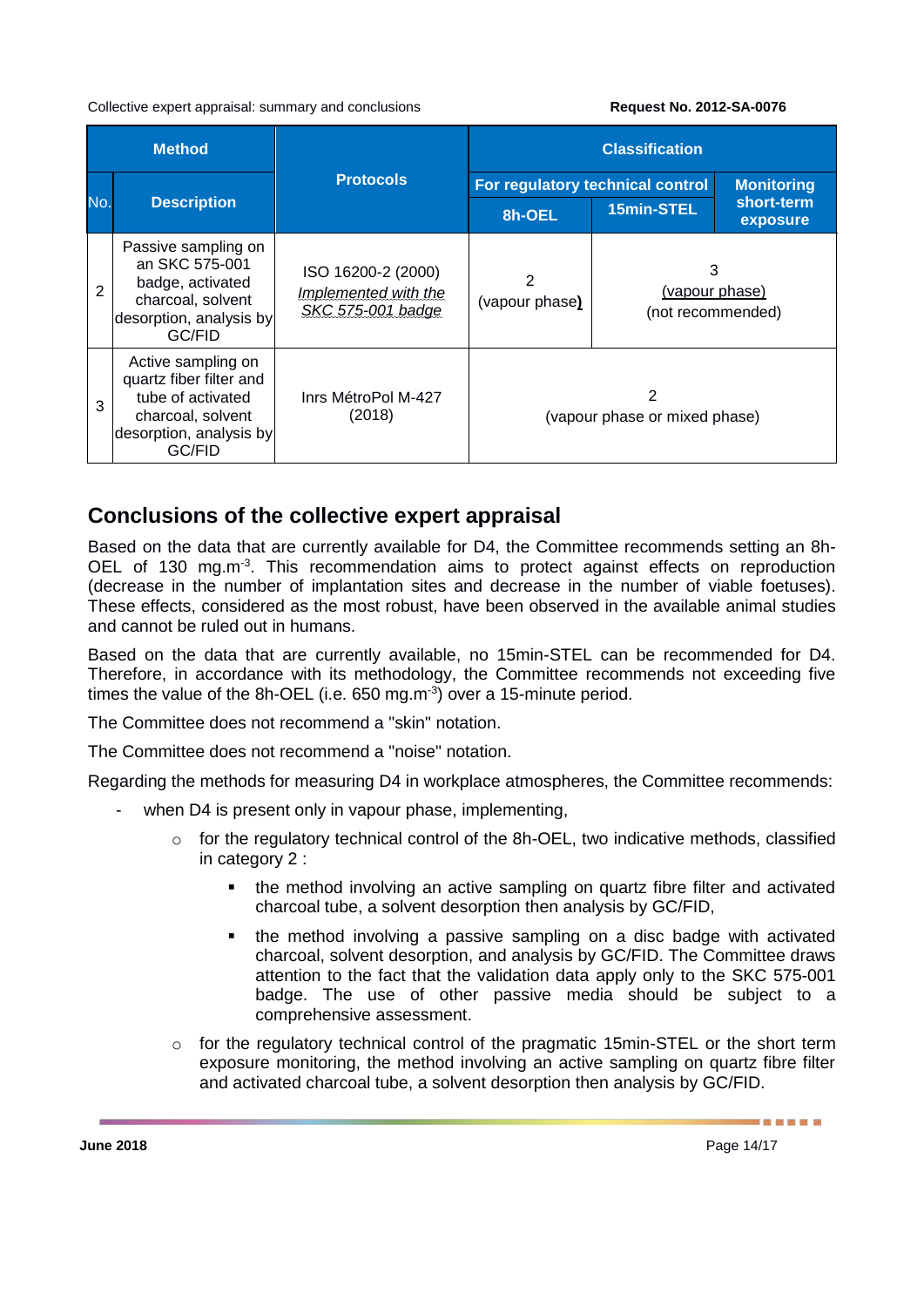| <b>Method</b> |                                                                                                                              |                                                                 | <b>Classification</b>              |                                          |                                 |  |
|---------------|------------------------------------------------------------------------------------------------------------------------------|-----------------------------------------------------------------|------------------------------------|------------------------------------------|---------------------------------|--|
| No.           | <b>Description</b>                                                                                                           | <b>Protocols</b>                                                | For regulatory technical control   |                                          | <b>Monitoring</b><br>short-term |  |
|               |                                                                                                                              |                                                                 | 8h-OEL                             | 15min-STEL                               | exposure                        |  |
| 2             | Passive sampling on<br>an SKC 575-001<br>badge, activated<br>charcoal, solvent<br>desorption, analysis by<br>GC/FID          | ISO 16200-2 (2000)<br>Implemented with the<br>SKC 575-001 badge | 2<br>(vapour phase)                | 3<br>(vapour phase)<br>(not recommended) |                                 |  |
| 3             | Active sampling on<br>quartz fiber filter and<br>tube of activated<br>charcoal, solvent<br>desorption, analysis by<br>GC/FID | Inrs MétroPol M-427<br>(2018)                                   | 2<br>(vapour phase or mixed phase) |                                          |                                 |  |

## **Conclusions of the collective expert appraisal**

Based on the data that are currently available for D4, the Committee recommends setting an 8h-OEL of 130 mg.m<sup>-3</sup>. This recommendation aims to protect against effects on reproduction (decrease in the number of implantation sites and decrease in the number of viable foetuses). These effects, considered as the most robust, have been observed in the available animal studies and cannot be ruled out in humans.

Based on the data that are currently available, no 15min-STEL can be recommended for D4. Therefore, in accordance with its methodology, the Committee recommends not exceeding five times the value of the 8h-OEL (i.e. 650 mg.m $3$ ) over a 15-minute period.

The Committee does not recommend a "skin" notation.

The Committee does not recommend a "noise" notation.

Regarding the methods for measuring D4 in workplace atmospheres, the Committee recommends:

- when D4 is present only in vapour phase, implementing,
	- o for the regulatory technical control of the 8h-OEL, two indicative methods, classified in category 2 :
		- the method involving an active sampling on quartz fibre filter and activated charcoal tube, a solvent desorption then analysis by GC/FID,
		- the method involving a passive sampling on a disc badge with activated charcoal, solvent desorption, and analysis by GC/FID. The Committee draws attention to the fact that the validation data apply only to the SKC 575-001 badge. The use of other passive media should be subject to a comprehensive assessment.
	- o for the regulatory technical control of the pragmatic 15min-STEL or the short term exposure monitoring, the method involving an active sampling on quartz fibre filter and activated charcoal tube, a solvent desorption then analysis by GC/FID.

-------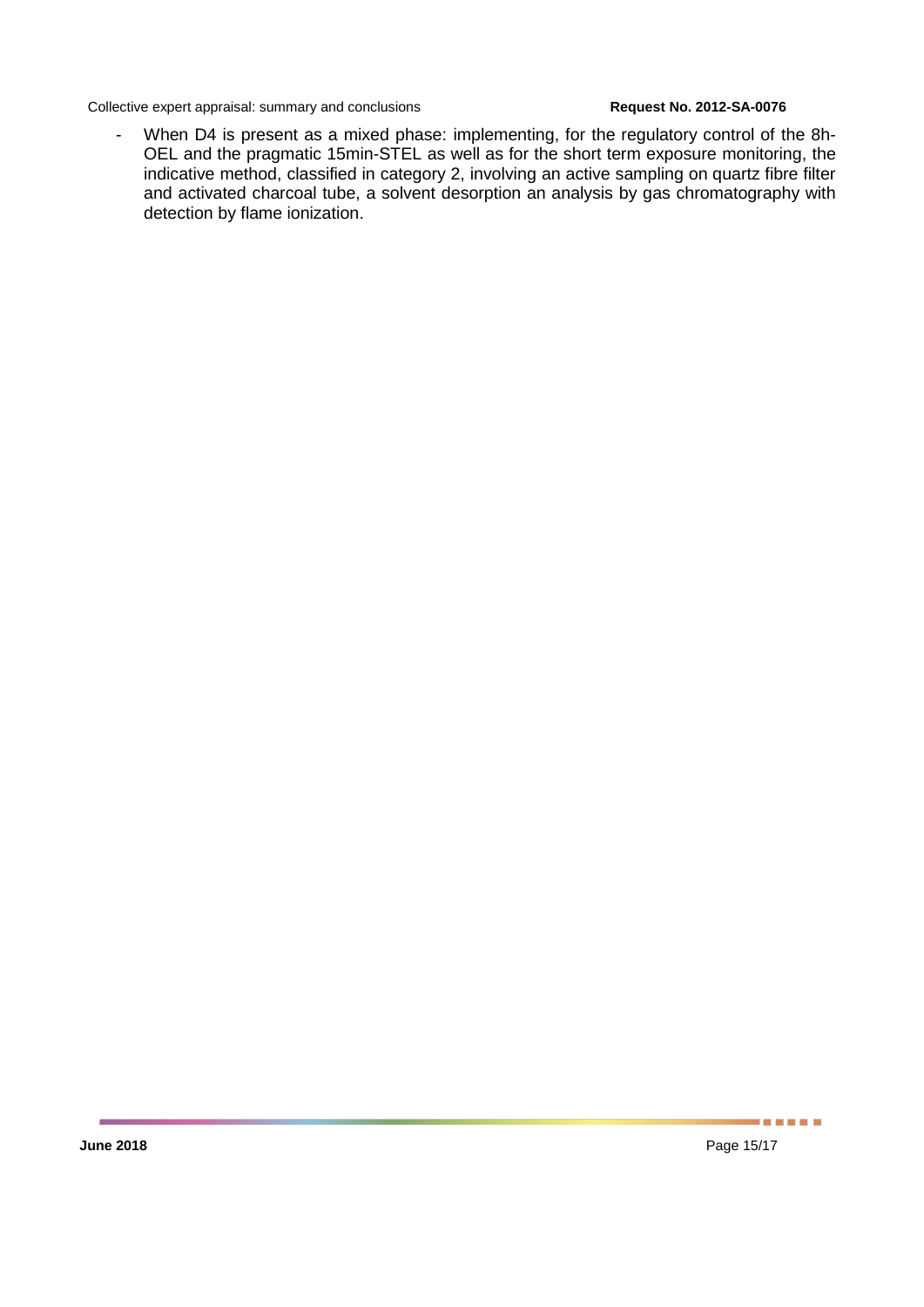- When D4 is present as a mixed phase: implementing, for the regulatory control of the 8h-OEL and the pragmatic 15min-STEL as well as for the short term exposure monitoring, the indicative method, classified in category 2, involving an active sampling on quartz fibre filter and activated charcoal tube, a solvent desorption an analysis by gas chromatography with detection by flame ionization.

-----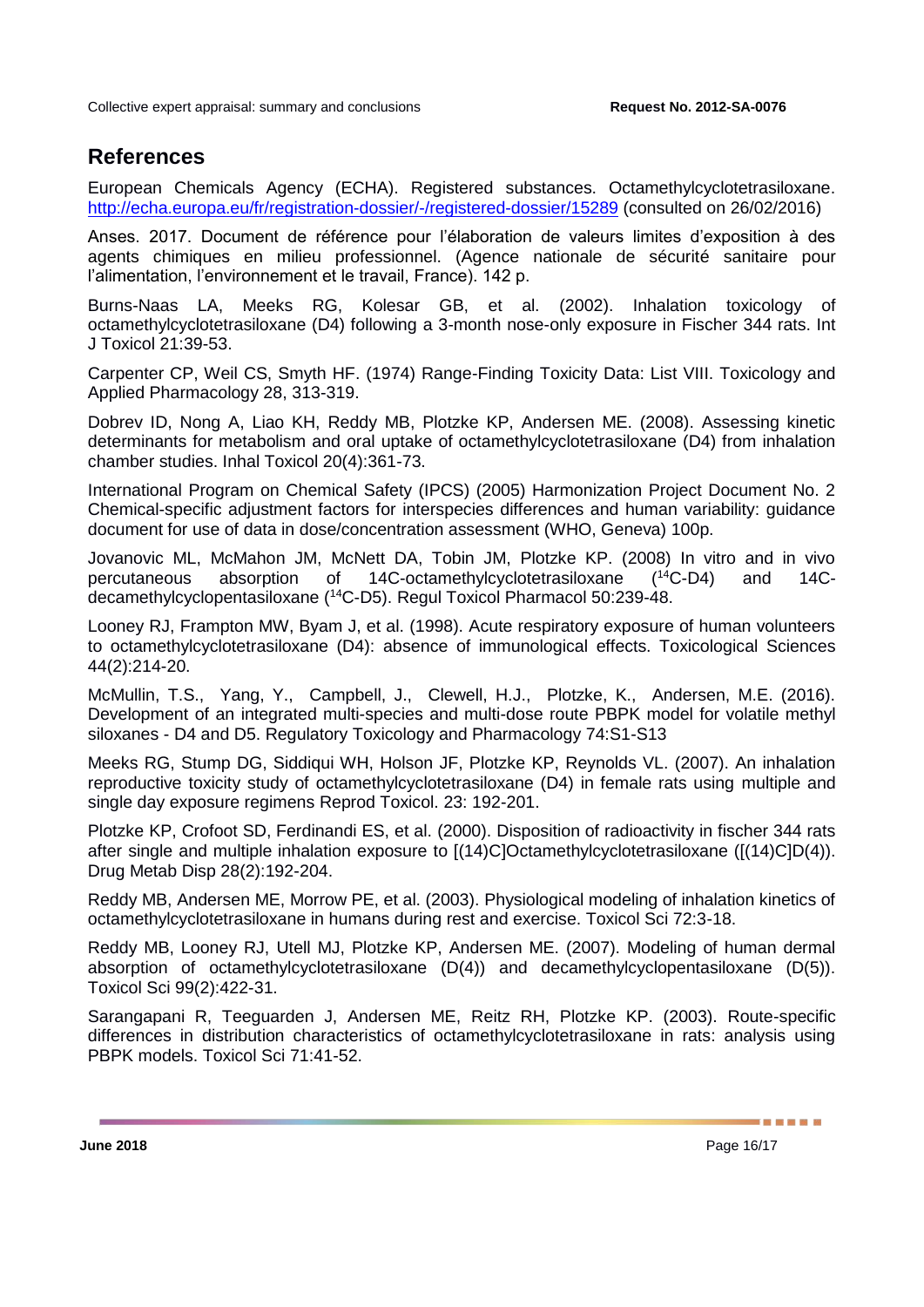## **References**

European Chemicals Agency (ECHA). Registered substances. Octamethylcyclotetrasiloxane. <http://echa.europa.eu/fr/registration-dossier/-/registered-dossier/15289> (consulted on 26/02/2016)

Anses. 2017. Document de référence pour l'élaboration de valeurs limites d'exposition à des agents chimiques en milieu professionnel. (Agence nationale de sécurité sanitaire pour l'alimentation, l'environnement et le travail, France). 142 p.

Burns-Naas LA, Meeks RG, Kolesar GB, et al. (2002). Inhalation toxicology of octamethylcyclotetrasiloxane (D4) following a 3-month nose-only exposure in Fischer 344 rats. Int J Toxicol 21:39-53.

Carpenter CP, Weil CS, Smyth HF. (1974) Range-Finding Toxicity Data: List VIII. Toxicology and Applied Pharmacology 28, 313-319.

Dobrev ID, Nong A, Liao KH, Reddy MB, Plotzke KP, Andersen ME. (2008). Assessing kinetic determinants for metabolism and oral uptake of octamethylcyclotetrasiloxane (D4) from inhalation chamber studies. Inhal Toxicol 20(4):361-73.

International Program on Chemical Safety (IPCS) (2005) Harmonization Project Document No. 2 Chemical-specific adjustment factors for interspecies differences and human variability: guidance document for use of data in dose/concentration assessment (WHO, Geneva) 100p.

Jovanovic ML, McMahon JM, McNett DA, Tobin JM, Plotzke KP. (2008) In vitro and in vivo percutaneous absorption of 14C-octamethylcyclotetrasiloxane (14C-D4) and 14Cdecamethylcyclopentasiloxane (<sup>14</sup>C-D5). Regul Toxicol Pharmacol 50:239-48.

Looney RJ, Frampton MW, Byam J, et al. (1998). Acute respiratory exposure of human volunteers to octamethylcyclotetrasiloxane (D4): absence of immunological effects. Toxicological Sciences 44(2):214-20.

McMullin, T.S., Yang, Y., Campbell, J., Clewell, H.J., Plotzke, K., Andersen, M.E. (2016). Development of an integrated multi-species and multi-dose route PBPK model for volatile methyl siloxanes - D4 and D5. Regulatory Toxicology and Pharmacology 74:S1-S13

Meeks RG, Stump DG, Siddiqui WH, Holson JF, Plotzke KP, Reynolds VL. (2007). An inhalation reproductive toxicity study of octamethylcyclotetrasiloxane (D4) in female rats using multiple and single day exposure regimens Reprod Toxicol. 23: 192-201.

Plotzke KP, Crofoot SD, Ferdinandi ES, et al. (2000). Disposition of radioactivity in fischer 344 rats after single and multiple inhalation exposure to [(14)C]Octamethylcyclotetrasiloxane ([(14)C]D(4)). Drug Metab Disp 28(2):192-204.

Reddy MB, Andersen ME, Morrow PE, et al. (2003). Physiological modeling of inhalation kinetics of octamethylcyclotetrasiloxane in humans during rest and exercise. Toxicol Sci 72:3-18.

Reddy MB, Looney RJ, Utell MJ, Plotzke KP, Andersen ME. (2007). Modeling of human dermal absorption of octamethylcyclotetrasiloxane (D(4)) and decamethylcyclopentasiloxane (D(5)). Toxicol Sci 99(2):422-31.

Sarangapani R, Teeguarden J, Andersen ME, Reitz RH, Plotzke KP. (2003). Route-specific differences in distribution characteristics of octamethylcyclotetrasiloxane in rats: analysis using PBPK models. Toxicol Sci 71:41-52.